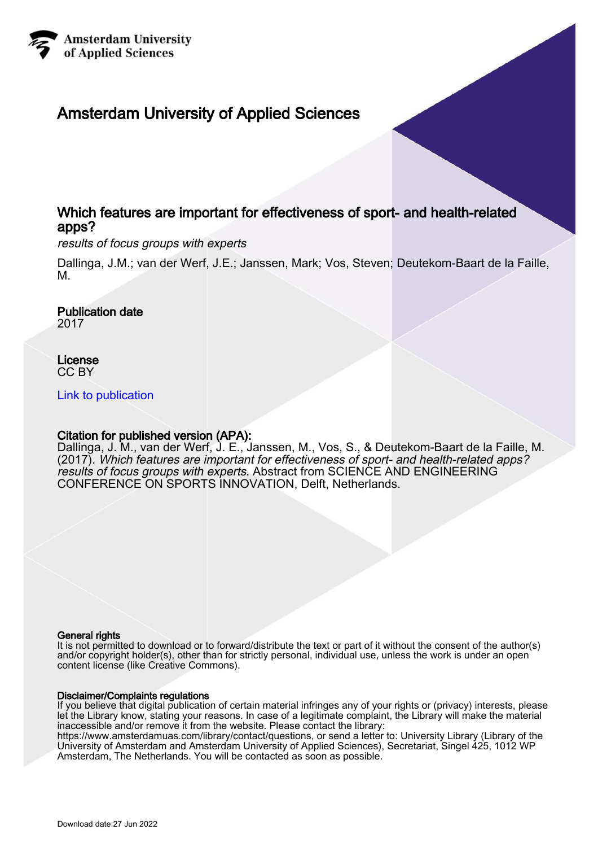

# Amsterdam University of Applied Sciences

## Which features are important for effectiveness of sport- and health-related apps?

results of focus groups with experts

Dallinga, J.M.; van der Werf, J.E.; Janssen, Mark; Vos, Steven; Deutekom-Baart de la Faille, M.

Publication date 2017

License CC BY

[Link to publication](https://research.hva.nl/en/publications/1c6e1e06-0e6a-4816-80d4-acb70cfd5694)

### Citation for published version (APA):

Dallinga, J. M., van der Werf, J. E., Janssen, M., Vos, S., & Deutekom-Baart de la Faille, M. (2017). Which features are important for effectiveness of sport- and health-related apps? results of focus groups with experts. Abstract from SCIENCE AND ENGINEERING CONFERENCE ON SPORTS INNOVATION, Delft, Netherlands.

#### General rights

It is not permitted to download or to forward/distribute the text or part of it without the consent of the author(s) and/or copyright holder(s), other than for strictly personal, individual use, unless the work is under an open content license (like Creative Commons).

#### Disclaimer/Complaints regulations

If you believe that digital publication of certain material infringes any of your rights or (privacy) interests, please let the Library know, stating your reasons. In case of a legitimate complaint, the Library will make the material inaccessible and/or remove it from the website. Please contact the library:

https://www.amsterdamuas.com/library/contact/questions, or send a letter to: University Library (Library of the University of Amsterdam and Amsterdam University of Applied Sciences), Secretariat, Singel 425, 1012 WP Amsterdam, The Netherlands. You will be contacted as soon as possible.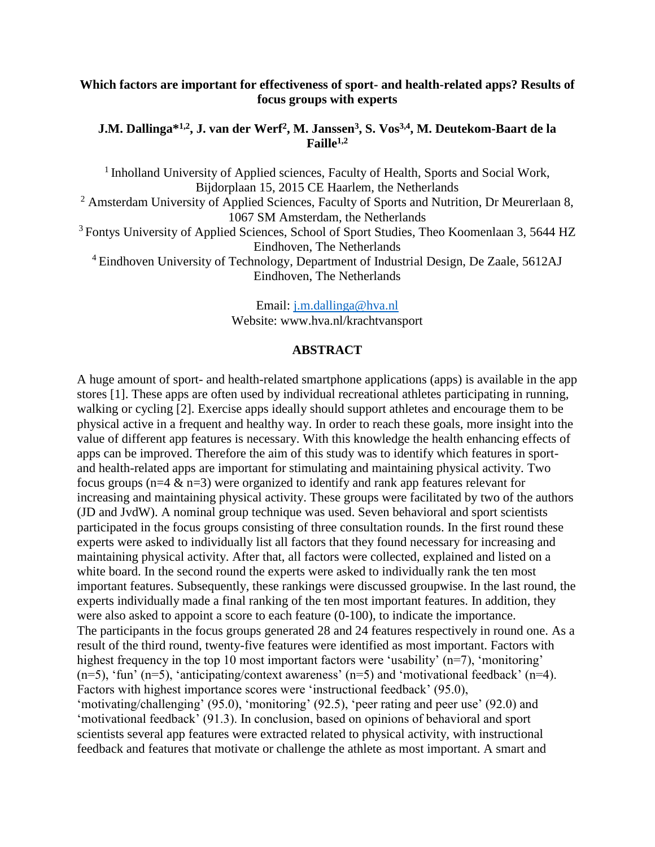## **Which factors are important for effectiveness of sport- and health-related apps? Results of focus groups with experts**

## **J.M. Dallinga\* 1,2, J. van der Werf<sup>2</sup> , M. Janssen<sup>3</sup> , S. Vos3,4 , M. Deutekom-Baart de la Faille1,2**

<sup>1</sup> Inholland University of Applied sciences, Faculty of Health, Sports and Social Work, Bijdorplaan 15, 2015 CE Haarlem, the Netherlands <sup>2</sup> Amsterdam University of Applied Sciences, Faculty of Sports and Nutrition, Dr Meurerlaan 8, 1067 SM Amsterdam, the Netherlands <sup>3</sup> Fontys University of Applied Sciences, School of Sport Studies, Theo Koomenlaan 3, 5644 HZ Eindhoven, The Netherlands <sup>4</sup>Eindhoven University of Technology, Department of Industrial Design, De Zaale, 5612AJ Eindhoven, The Netherlands

> Email: [j.m.dallinga@hva.nl](mailto:j.m.dallinga@hva.nl) Website: www.hva.nl/krachtvansport

#### **ABSTRACT**

A huge amount of sport- and health-related smartphone applications (apps) is available in the app stores [1]. These apps are often used by individual recreational athletes participating in running, walking or cycling [2]. Exercise apps ideally should support athletes and encourage them to be physical active in a frequent and healthy way. In order to reach these goals, more insight into the value of different app features is necessary. With this knowledge the health enhancing effects of apps can be improved. Therefore the aim of this study was to identify which features in sportand health-related apps are important for stimulating and maintaining physical activity. Two focus groups ( $n=4$  &  $n=3$ ) were organized to identify and rank app features relevant for increasing and maintaining physical activity. These groups were facilitated by two of the authors (JD and JvdW). A nominal group technique was used. Seven behavioral and sport scientists participated in the focus groups consisting of three consultation rounds. In the first round these experts were asked to individually list all factors that they found necessary for increasing and maintaining physical activity. After that, all factors were collected, explained and listed on a white board. In the second round the experts were asked to individually rank the ten most important features. Subsequently, these rankings were discussed groupwise. In the last round, the experts individually made a final ranking of the ten most important features. In addition, they were also asked to appoint a score to each feature (0-100), to indicate the importance. The participants in the focus groups generated 28 and 24 features respectively in round one. As a result of the third round, twenty-five features were identified as most important. Factors with highest frequency in the top 10 most important factors were 'usability' (n=7), 'monitoring' (n=5), 'fun' (n=5), 'anticipating/context awareness' (n=5) and 'motivational feedback' (n=4). Factors with highest importance scores were 'instructional feedback' (95.0), 'motivating/challenging' (95.0), 'monitoring' (92.5), 'peer rating and peer use' (92.0) and 'motivational feedback' (91.3). In conclusion, based on opinions of behavioral and sport scientists several app features were extracted related to physical activity, with instructional feedback and features that motivate or challenge the athlete as most important. A smart and